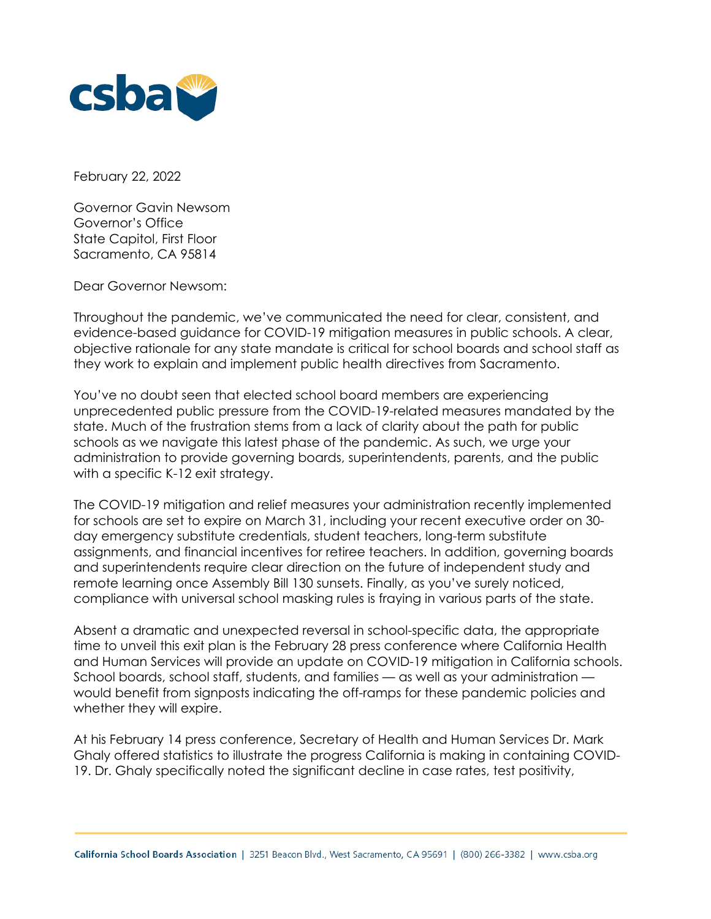

February 22, 2022

Governor Gavin Newsom Governor's Office State Capitol, First Floor Sacramento, CA 95814

Dear Governor Newsom:

Throughout the pandemic, we've communicated the need for clear, consistent, and evidence-based guidance for COVID-19 mitigation measures in public schools. A clear, objective rationale for any state mandate is critical for school boards and school staff as they work to explain and implement public health directives from Sacramento.

You've no doubt seen that elected school board members are experiencing unprecedented public pressure from the COVID-19-related measures mandated by the state. Much of the frustration stems from a lack of clarity about the path for public schools as we navigate this latest phase of the pandemic. As such, we urge your administration to provide governing boards, superintendents, parents, and the public with a specific K-12 exit strategy.

The COVID-19 mitigation and relief measures your administration recently implemented for schools are set to expire on March 31, including your recent executive order on 30 day emergency substitute credentials, student teachers, long-term substitute assignments, and financial incentives for retiree teachers. In addition, governing boards and superintendents require clear direction on the future of independent study and remote learning once Assembly Bill 130 sunsets. Finally, as you've surely noticed, compliance with universal school masking rules is fraying in various parts of the state.

Absent a dramatic and unexpected reversal in school-specific data, the appropriate time to unveil this exit plan is the February 28 press conference where California Health and Human Services will provide an update on COVID-19 mitigation in California schools. School boards, school staff, students, and families — as well as your administration would benefit from signposts indicating the off-ramps for these pandemic policies and whether they will expire.

At his February 14 press conference, Secretary of Health and Human Services Dr. Mark Ghaly offered statistics to illustrate the progress California is making in containing COVID-19. Dr. Ghaly specifically noted the significant decline in case rates, test positivity,